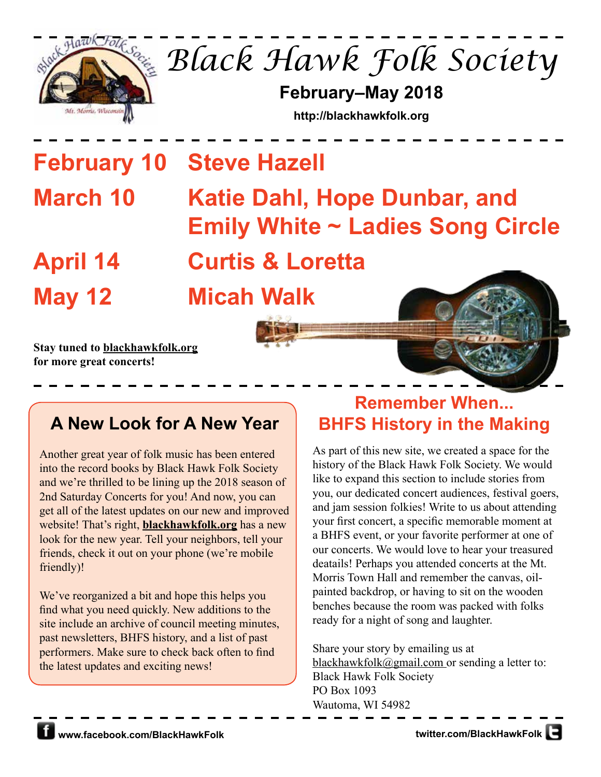

*Black Hawk Folk Society*

**February–May 2018**

**http://blackhawkfolk.org**

**February 10 Steve Hazell**

# **March 10 Katie Dahl, Hope Dunbar, and Emily White ~ Ladies Song Circle April 14 Curtis & Loretta**

**May 12 Micah Walk**

**Stay tuned to blackhawkfolk.org for more great concerts!**

# **A New Look for A New Year**

Another great year of folk music has been entered into the record books by Black Hawk Folk Society and we're thrilled to be lining up the 2018 season of 2nd Saturday Concerts for you! And now, you can get all of the latest updates on our new and improved website! That's right, **blackhawkfolk.org** has a new look for the new year. Tell your neighbors, tell your friends, check it out on your phone (we're mobile friendly)!

We've reorganized a bit and hope this helps you find what you need quickly. New additions to the site include an archive of council meeting minutes, past newsletters, BHFS history, and a list of past performers. Make sure to check back often to find the latest updates and exciting news!

# **Remember When... BHFS History in the Making**

As part of this new site, we created a space for the history of the Black Hawk Folk Society. We would like to expand this section to include stories from you, our dedicated concert audiences, festival goers, and jam session folkies! Write to us about attending your first concert, a specific memorable moment at a BHFS event, or your favorite performer at one of our concerts. We would love to hear your treasured deatails! Perhaps you attended concerts at the Mt. Morris Town Hall and remember the canvas, oilpainted backdrop, or having to sit on the wooden benches because the room was packed with folks ready for a night of song and laughter.

Share your story by emailing us at blackhawkfolk@gmail.com or sending a letter to: Black Hawk Folk Society PO Box 1093 Wautoma, WI 54982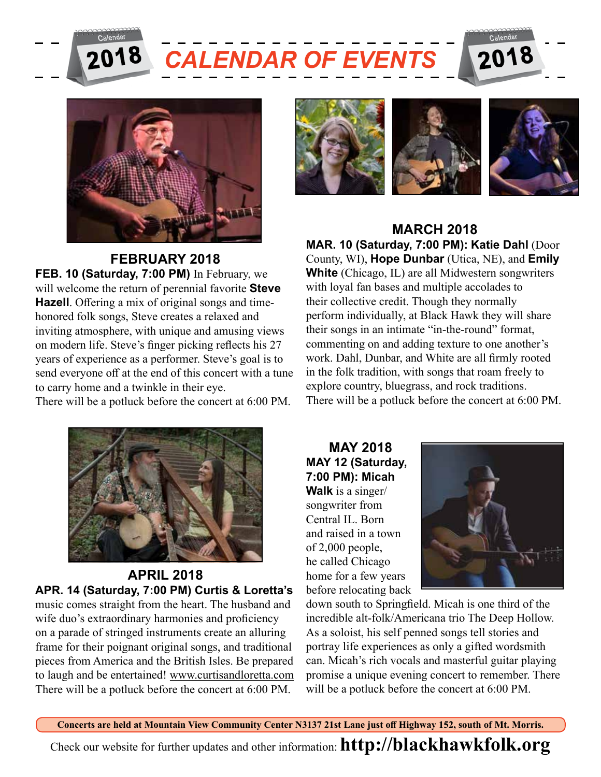



**FEBRUARY 2018**

**FEB. 10 (Saturday, 7:00 PM)** In February, we will welcome the return of perennial favorite **Steve Hazell**. Offering a mix of original songs and timehonored folk songs, Steve creates a relaxed and inviting atmosphere, with unique and amusing views on modern life. Steve's finger picking reflects his 27 years of experience as a performer. Steve's goal is to send everyone off at the end of this concert with a tune to carry home and a twinkle in their eye.

There will be a potluck before the concert at 6:00 PM.



**APRIL 2018 APR. 14 (Saturday, 7:00 PM) Curtis & Loretta's**  music comes straight from the heart. The husband and wife duo's extraordinary harmonies and proficiency on a parade of stringed instruments create an alluring frame for their poignant original songs, and traditional pieces from America and the British Isles. Be prepared to laugh and be entertained! www.curtisandloretta.com There will be a potluck before the concert at 6:00 PM.



#### **MARCH 2018**

**MAR. 10 (Saturday, 7:00 PM): Katie Dahl** (Door County, WI), **Hope Dunbar** (Utica, NE), and **Emily White** (Chicago, IL) are all Midwestern songwriters with loyal fan bases and multiple accolades to their collective credit. Though they normally perform individually, at Black Hawk they will share their songs in an intimate "in-the-round" format, commenting on and adding texture to one another's work. Dahl, Dunbar, and White are all firmly rooted in the folk tradition, with songs that roam freely to explore country, bluegrass, and rock traditions. There will be a potluck before the concert at 6:00 PM.

**MAY 2018 MAY 12 (Saturday, 7:00 PM): Micah Walk** is a singer/ songwriter from Central IL. Born and raised in a town of 2,000 people, he called Chicago home for a few years before relocating back



down south to Springfield. Micah is one third of the incredible alt-folk/Americana trio The Deep Hollow. As a soloist, his self penned songs tell stories and portray life experiences as only a gifted wordsmith can. Micah's rich vocals and masterful guitar playing promise a unique evening concert to remember. There will be a potluck before the concert at 6:00 PM.

**Concerts are held at Mountain View Community Center N3137 21st Lane just off Highway 152, south of Mt. Morris.** Check our website for further updates and other information: **http://blackhawkfolk.org**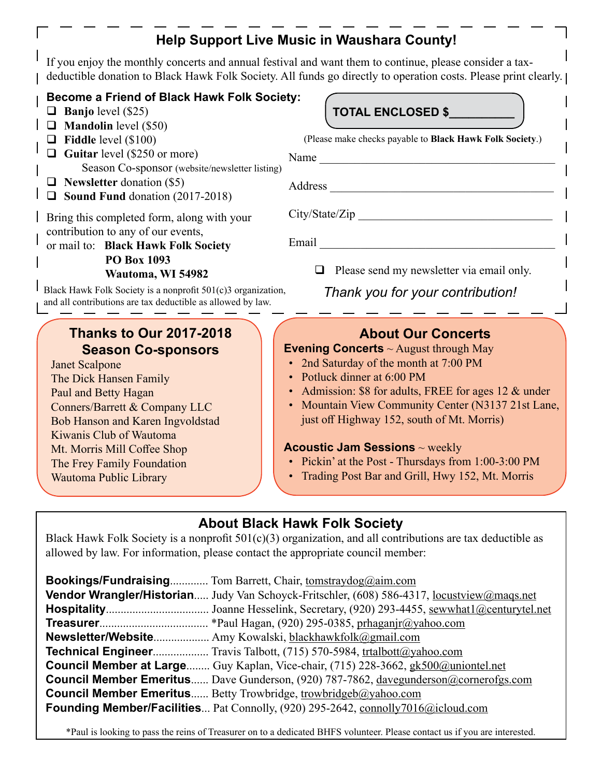## **Help Support Live Music in Waushara County!**

If you enjoy the monthly concerts and annual festival and want them to continue, please consider a taxdeductible donation to Black Hawk Folk Society. All funds go directly to operation costs. Please print clearly. [

#### **Become a Friend of Black Hawk Folk Society:**

- **Banjo** level  $(\$25)$
- **Mandolin** level (\$50)
- **Fiddle** level (\$100)
- Guitar level (\$250 or more) Season Co-sponsor (website/newsletter listing)
- **Newsletter** donation (\$5)
- $\Box$  Sound Fund donation (2017-2018)

Bring this completed form, along with your contribution to any of our events,

or mail to: **Black Hawk Folk Society PO Box 1093 Wautoma, WI 54982**

Black Hawk Folk Society is a nonprofit 501(c)3 organization, and all contributions are tax deductible as allowed by law.

## **Thanks to Our 2017-2018 Season Co-sponsors**

Janet Scalpone The Dick Hansen Family Paul and Betty Hagan Conners/Barrett & Company LLC Bob Hanson and Karen Ingvoldstad Kiwanis Club of Wautoma Mt. Morris Mill Coffee Shop The Frey Family Foundation Wautoma Public Library

#### **TOTAL ENCLOSED \$\_\_\_\_\_\_\_\_\_\_**

(Please make checks payable to **Black Hawk Folk Society**.)

Name  $\Box$ 

Address \_\_\_\_\_\_\_\_\_\_\_\_\_\_\_\_\_\_\_\_\_\_\_\_\_\_\_\_\_\_\_\_\_\_\_\_\_\_

 $City/State/Zip$ 

Email

 $\Box$  Please send my newsletter via email only.

*Thank you for your contribution!*

#### **About Our Concerts**

#### **Evening Concerts** ~ August through May

- 2nd Saturday of the month at 7:00 PM
- Potluck dinner at 6:00 PM
- Admission: \$8 for adults, FREE for ages 12 & under
- Mountain View Community Center (N3137 21st Lane, just off Highway 152, south of Mt. Morris)

#### **Acoustic Jam Sessions** ~ weekly

- Pickin' at the Post Thursdays from 1:00-3:00 PM
- Trading Post Bar and Grill, Hwy 152, Mt. Morris

## **About Black Hawk Folk Society**

Black Hawk Folk Society is a nonprofit  $501(c)(3)$  organization, and all contributions are tax deductible as allowed by law. For information, please contact the appropriate council member:

| <b>Bookings/Fundraising</b> Tom Barrett, Chair, tomstraydog@aim.com                                      |
|----------------------------------------------------------------------------------------------------------|
| <b>Vendor Wrangler/Historian</b> Judy Van Schoyck-Fritschler, (608) 586-4317, <u>locustview@mags.net</u> |
|                                                                                                          |
|                                                                                                          |
| Newsletter/Website Amy Kowalski, blackhawkfolk@gmail.com                                                 |
| Technical Engineer Travis Talbott, (715) 570-5984, trtalbott@yahoo.com                                   |
| <b>Council Member at Large</b> Guy Kaplan, Vice-chair, (715) 228-3662, gk500@uniontel.net                |
| <b>Council Member Emeritus</b> Dave Gunderson, (920) 787-7862, davegunderson@cornerofgs.com              |
| <b>Council Member Emeritus</b> Betty Trowbridge, trowbridgeb@yahoo.com                                   |
| Founding Member/Facilities Pat Connolly, (920) 295-2642, connolly7016@icloud.com                         |

\*Paul is looking to pass the reins of Treasurer on to a dedicated BHFS volunteer. Please contact us if you are interested.